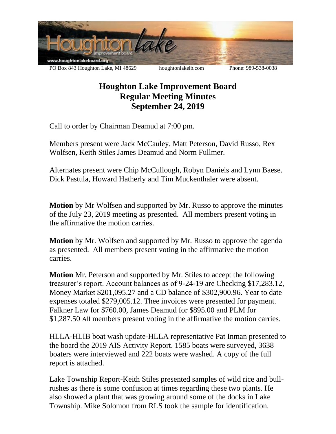

## **Houghton Lake Improvement Board Regular Meeting Minutes September 24, 2019**

Call to order by Chairman Deamud at 7:00 pm.

Members present were Jack McCauley, Matt Peterson, David Russo, Rex Wolfsen, Keith Stiles James Deamud and Norm Fullmer.

Alternates present were Chip McCullough, Robyn Daniels and Lynn Baese. Dick Pastula, Howard Hatherly and Tim Muckenthaler were absent.

**Motion** by Mr Wolfsen and supported by Mr. Russo to approve the minutes of the July 23, 2019 meeting as presented. All members present voting in the affirmative the motion carries.

**Motion** by Mr. Wolfsen and supported by Mr. Russo to approve the agenda as presented. All members present voting in the affirmative the motion carries.

**Motion** Mr. Peterson and supported by Mr. Stiles to accept the following treasurer's report. Account balances as of 9-24-19 are Checking \$17,283.12, Money Market \$201,095.27 and a CD balance of \$302,900.96. Year to date expenses totaled \$279,005.12. Thee invoices were presented for payment. Falkner Law for \$760.00, James Deamud for \$895.00 and PLM for \$1,287.50 All members present voting in the affirmative the motion carries.

HLLA-HLIB boat wash update-HLLA representative Pat Inman presented to the board the 2019 AIS Activity Report. 1585 boats were surveyed, 3638 boaters were interviewed and 222 boats were washed. A copy of the full report is attached.

Lake Township Report-Keith Stiles presented samples of wild rice and bullrushes as there is some confusion at times regarding these two plants. He also showed a plant that was growing around some of the docks in Lake Township. Mike Solomon from RLS took the sample for identification.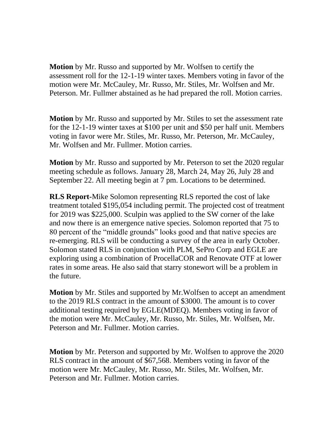**Motion** by Mr. Russo and supported by Mr. Wolfsen to certify the assessment roll for the 12-1-19 winter taxes. Members voting in favor of the motion were Mr. McCauley, Mr. Russo, Mr. Stiles, Mr. Wolfsen and Mr. Peterson. Mr. Fullmer abstained as he had prepared the roll. Motion carries.

**Motion** by Mr. Russo and supported by Mr. Stiles to set the assessment rate for the 12-1-19 winter taxes at \$100 per unit and \$50 per half unit. Members voting in favor were Mr. Stiles, Mr. Russo, Mr. Peterson, Mr. McCauley, Mr. Wolfsen and Mr. Fullmer. Motion carries.

**Motion** by Mr. Russo and supported by Mr. Peterson to set the 2020 regular meeting schedule as follows. January 28, March 24, May 26, July 28 and September 22. All meeting begin at 7 pm. Locations to be determined.

**RLS Report-**Mike Solomon representing RLS reported the cost of lake treatment totaled \$195,054 including permit. The projected cost of treatment for 2019 was \$225,000. Sculpin was applied to the SW corner of the lake and now there is an emergence native species. Solomon reported that 75 to 80 percent of the "middle grounds" looks good and that native species are re-emerging. RLS will be conducting a survey of the area in early October. Solomon stated RLS in conjunction with PLM, SePro Corp and EGLE are exploring using a combination of ProcellaCOR and Renovate OTF at lower rates in some areas. He also said that starry stonewort will be a problem in the future.

**Motion** by Mr. Stiles and supported by Mr.Wolfsen to accept an amendment to the 2019 RLS contract in the amount of \$3000. The amount is to cover additional testing required by EGLE(MDEQ). Members voting in favor of the motion were Mr. McCauley, Mr. Russo, Mr. Stiles, Mr. Wolfsen, Mr. Peterson and Mr. Fullmer. Motion carries.

**Motion** by Mr. Peterson and supported by Mr. Wolfsen to approve the 2020 RLS contract in the amount of \$67,568. Members voting in favor of the motion were Mr. McCauley, Mr. Russo, Mr. Stiles, Mr. Wolfsen, Mr. Peterson and Mr. Fullmer. Motion carries.